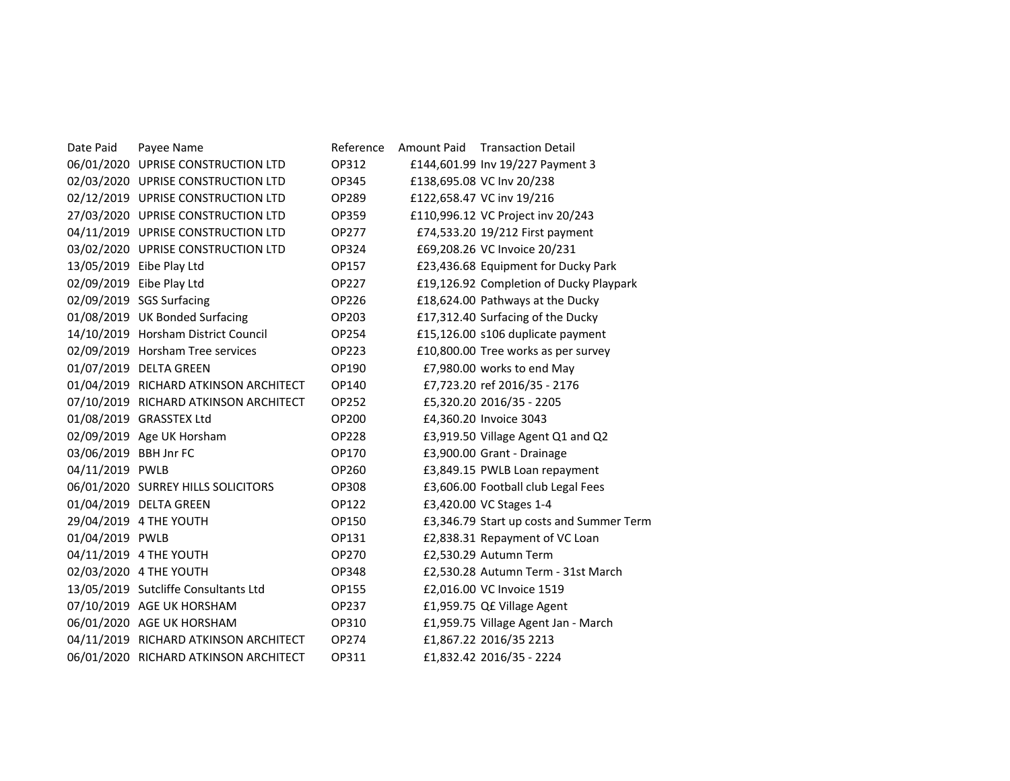| Date Paid             | Payee Name                            | Reference | Amount Paid | <b>Transaction Detail</b>                |
|-----------------------|---------------------------------------|-----------|-------------|------------------------------------------|
|                       | 06/01/2020 UPRISE CONSTRUCTION LTD    | OP312     |             | £144,601.99 Inv 19/227 Payment 3         |
|                       | 02/03/2020 UPRISE CONSTRUCTION LTD    | OP345     |             | £138,695.08 VC Inv 20/238                |
|                       | 02/12/2019 UPRISE CONSTRUCTION LTD    | OP289     |             | £122,658.47 VC inv 19/216                |
|                       | 27/03/2020 UPRISE CONSTRUCTION LTD    | OP359     |             | £110,996.12 VC Project inv 20/243        |
|                       | 04/11/2019 UPRISE CONSTRUCTION LTD    | OP277     |             | £74,533.20 19/212 First payment          |
|                       | 03/02/2020 UPRISE CONSTRUCTION LTD    | OP324     |             | £69,208.26 VC Invoice 20/231             |
|                       | 13/05/2019 Eibe Play Ltd              | OP157     |             | £23,436.68 Equipment for Ducky Park      |
|                       | 02/09/2019 Eibe Play Ltd              | OP227     |             | £19,126.92 Completion of Ducky Playpark  |
|                       | 02/09/2019 SGS Surfacing              | OP226     |             | £18,624.00 Pathways at the Ducky         |
|                       | 01/08/2019 UK Bonded Surfacing        | OP203     |             | £17,312.40 Surfacing of the Ducky        |
|                       | 14/10/2019 Horsham District Council   | OP254     |             | £15,126.00 s106 duplicate payment        |
|                       | 02/09/2019 Horsham Tree services      | OP223     |             | £10,800.00 Tree works as per survey      |
|                       | 01/07/2019 DELTA GREEN                | OP190     |             | £7,980.00 works to end May               |
|                       | 01/04/2019 RICHARD ATKINSON ARCHITECT | OP140     |             | £7,723.20 ref 2016/35 - 2176             |
|                       | 07/10/2019 RICHARD ATKINSON ARCHITECT | OP252     |             | £5,320.20 2016/35 - 2205                 |
|                       | 01/08/2019 GRASSTEX Ltd               | OP200     |             | £4,360.20 Invoice 3043                   |
|                       | 02/09/2019 Age UK Horsham             | OP228     |             | £3,919.50 Village Agent Q1 and Q2        |
| 03/06/2019 BBH Jnr FC |                                       | OP170     |             | £3,900.00 Grant - Drainage               |
| 04/11/2019 PWLB       |                                       | OP260     |             | £3,849.15 PWLB Loan repayment            |
|                       | 06/01/2020 SURREY HILLS SOLICITORS    | OP308     |             | £3,606.00 Football club Legal Fees       |
|                       | 01/04/2019 DELTA GREEN                | OP122     |             | £3,420.00 VC Stages 1-4                  |
|                       | 29/04/2019 4 THE YOUTH                | OP150     |             | £3,346.79 Start up costs and Summer Term |
| 01/04/2019 PWLB       |                                       | OP131     |             | £2,838.31 Repayment of VC Loan           |
|                       | 04/11/2019 4 THE YOUTH                | OP270     |             | £2,530.29 Autumn Term                    |
|                       | 02/03/2020 4 THE YOUTH                | OP348     |             | £2,530.28 Autumn Term - 31st March       |
|                       | 13/05/2019 Sutcliffe Consultants Ltd  | OP155     |             | £2,016.00 VC Invoice 1519                |
|                       | 07/10/2019 AGE UK HORSHAM             | OP237     |             | £1,959.75 Q£ Village Agent               |
|                       | 06/01/2020 AGE UK HORSHAM             | OP310     |             | £1,959.75 Village Agent Jan - March      |
|                       | 04/11/2019 RICHARD ATKINSON ARCHITECT | OP274     |             | £1,867.22 2016/35 2213                   |
|                       | 06/01/2020 RICHARD ATKINSON ARCHITECT | OP311     |             | £1,832.42 2016/35 - 2224                 |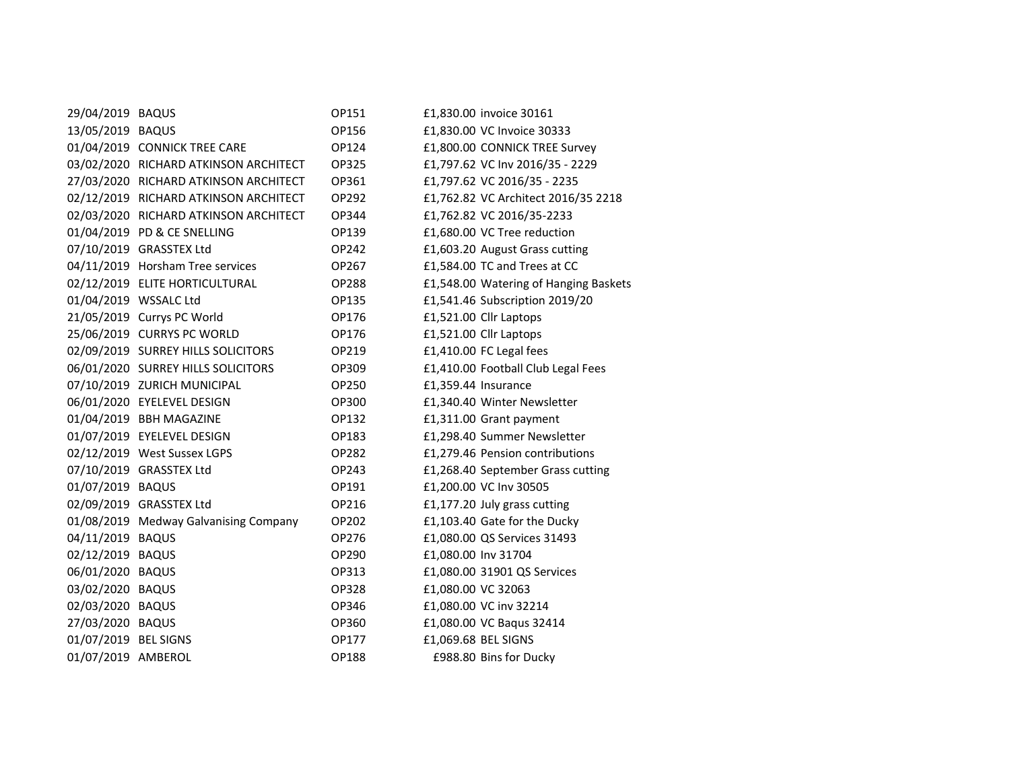| 29/04/2019 BAQUS      |                                       | OP151        | £1,830.00 invoice 30161               |
|-----------------------|---------------------------------------|--------------|---------------------------------------|
| 13/05/2019 BAQUS      |                                       | OP156        | £1,830.00 VC Invoice 30333            |
|                       | 01/04/2019 CONNICK TREE CARE          | OP124        | £1,800.00 CONNICK TREE Survey         |
|                       | 03/02/2020 RICHARD ATKINSON ARCHITECT | OP325        | £1,797.62 VC Inv 2016/35 - 2229       |
|                       | 27/03/2020 RICHARD ATKINSON ARCHITECT | OP361        | £1,797.62 VC 2016/35 - 2235           |
|                       | 02/12/2019 RICHARD ATKINSON ARCHITECT | OP292        | £1,762.82 VC Architect 2016/35 2218   |
|                       | 02/03/2020 RICHARD ATKINSON ARCHITECT | OP344        | £1,762.82 VC 2016/35-2233             |
|                       | 01/04/2019 PD & CE SNELLING           | OP139        | £1,680.00 VC Tree reduction           |
|                       | 07/10/2019 GRASSTEX Ltd               | OP242        | £1,603.20 August Grass cutting        |
|                       | 04/11/2019 Horsham Tree services      | OP267        | £1,584.00 TC and Trees at CC          |
|                       | 02/12/2019 ELITE HORTICULTURAL        | <b>OP288</b> | £1,548.00 Watering of Hanging Baskets |
| 01/04/2019 WSSALC Ltd |                                       | OP135        | £1,541.46 Subscription 2019/20        |
|                       | 21/05/2019 Currys PC World            | OP176        | £1,521.00 Cllr Laptops                |
|                       | 25/06/2019 CURRYS PC WORLD            | OP176        | £1,521.00 Cllr Laptops                |
|                       | 02/09/2019 SURREY HILLS SOLICITORS    | OP219        | £1,410.00 FC Legal fees               |
|                       | 06/01/2020 SURREY HILLS SOLICITORS    | OP309        | £1,410.00 Football Club Legal Fees    |
|                       | 07/10/2019 ZURICH MUNICIPAL           | OP250        | £1,359.44 Insurance                   |
|                       | 06/01/2020 EYELEVEL DESIGN            | OP300        | £1,340.40 Winter Newsletter           |
|                       | 01/04/2019 BBH MAGAZINE               | OP132        | £1,311.00 Grant payment               |
|                       | 01/07/2019 EYELEVEL DESIGN            | OP183        | £1,298.40 Summer Newsletter           |
|                       | 02/12/2019 West Sussex LGPS           | OP282        | £1,279.46 Pension contributions       |
|                       | 07/10/2019 GRASSTEX Ltd               | OP243        | £1,268.40 September Grass cutting     |
| 01/07/2019 BAQUS      |                                       | OP191        | £1,200.00 VC Inv 30505                |
|                       | 02/09/2019 GRASSTEX Ltd               | OP216        | £1,177.20 July grass cutting          |
|                       | 01/08/2019 Medway Galvanising Company | OP202        | £1,103.40 Gate for the Ducky          |
| 04/11/2019 BAQUS      |                                       | OP276        | £1,080.00 QS Services 31493           |
| 02/12/2019 BAQUS      |                                       | OP290        | £1,080.00 Inv 31704                   |
| 06/01/2020 BAQUS      |                                       | OP313        | £1,080.00 31901 QS Services           |
| 03/02/2020 BAQUS      |                                       | OP328        | £1,080.00 VC 32063                    |
| 02/03/2020 BAQUS      |                                       | OP346        | £1,080.00 VC inv 32214                |
| 27/03/2020 BAQUS      |                                       | OP360        | £1,080.00 VC Baqus 32414              |
| 01/07/2019 BEL SIGNS  |                                       | OP177        | £1,069.68 BEL SIGNS                   |
| 01/07/2019 AMBEROL    |                                       | OP188        | £988.80 Bins for Ducky                |